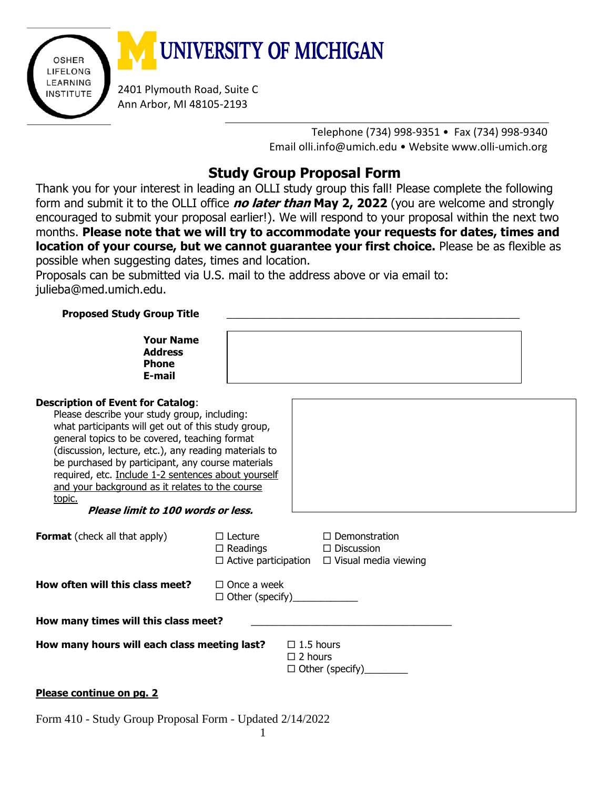

Telephone (734) 998-9351 • Fax (734) 998-9340 Email [olli.info@umich.edu](mailto:olli.info@umich.edu) • Website [www.olli-umich.org](http://www.olli-umich.org/)

## **Study Group Proposal Form**

Thank you for your interest in leading an OLLI study group this fall! Please complete the following form and submit it to the OLLI office **no later than May 2, 2022** (you are welcome and strongly encouraged to submit your proposal earlier!). We will respond to your proposal within the next two months. **Please note that we will try to accommodate your requests for dates, times and location of your course, but we cannot guarantee your first choice.** Please be as flexible as possible when suggesting dates, times and location.

Proposals can be submitted via U.S. mail to the address above or via email to: julieba@med.umich.edu.

## **Proposed Study Group Title** \_\_\_\_\_\_\_\_\_\_\_\_\_\_\_\_\_\_\_\_\_\_\_\_\_\_\_\_\_\_\_\_\_\_\_\_\_\_\_\_\_\_\_\_\_\_\_\_\_

| <b>Your Name</b><br><b>Address</b><br><b>Phone</b><br>E-mail |  |  |  |
|--------------------------------------------------------------|--|--|--|
| <b>Description of Event for Catalog:</b>                     |  |  |  |
| Please describe your study group, including:                 |  |  |  |
| what participants will get out of this study group,          |  |  |  |
| general topics to be covered, teaching format                |  |  |  |
| (discussion, lecture, etc.), any reading materials to        |  |  |  |
| be purchased by participant, any course materials            |  |  |  |
| required, etc. Include 1-2 sentences about yourself          |  |  |  |
| and your background as it relates to the course              |  |  |  |

**Please limit to 100 words or less.**

| <b>Format</b> (check all that apply) | $\Box$ Lecture<br>$\Box$ Readings<br>$\Box$ Active participation | $\Box$ Demonstration<br>$\Box$ Discussion<br>$\Box$ Visual media viewing |
|--------------------------------------|------------------------------------------------------------------|--------------------------------------------------------------------------|
|                                      |                                                                  |                                                                          |

**How often will this class meet?**  $\Box$  Once a week

topic.

|                        | LI UIILE A WEEK |  |
|------------------------|-----------------|--|
| $\Box$ Other (specify) |                 |  |

**How many times will this class meet?** \_\_\_\_\_\_\_\_\_\_\_\_\_\_\_\_\_\_\_\_\_\_\_\_\_\_\_\_\_\_\_\_\_\_\_\_\_

How many hours will each class meeting last?

| $\Box$ 1.5 hours       |  |
|------------------------|--|
| $\Box$ 2 hours         |  |
| $\Box$ Other (specify) |  |

## **Please continue on pg. 2**

Form 410 - Study Group Proposal Form - Updated 2/14/2022